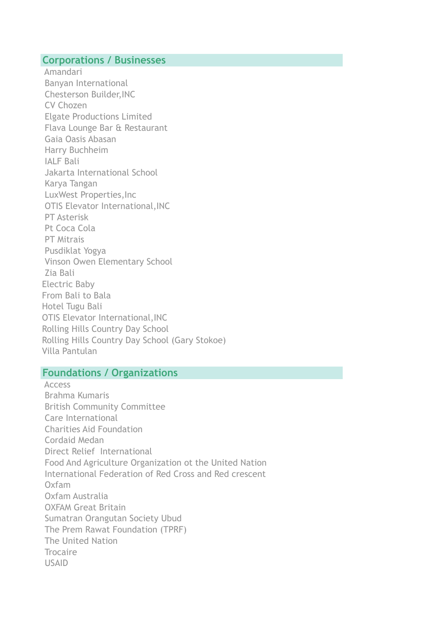#### **Corporations / Businesses**

 Amandari Banyan International Chesterson Builder,INC CV Chozen Elgate Productions Limited Flava Lounge Bar & Restaurant Gaia Oasis Abasan Harry Buchheim IALF Bali Jakarta International School Karya Tangan LuxWest Properties,Inc OTIS Elevator International,INC PT Asterisk Pt Coca Cola PT Mitrais Pusdiklat Yogya Vinson Owen Elementary School Zia Bali Electric Baby From Bali to Bala Hotel Tugu Bali OTIS Elevator International,INC Rolling Hills Country Day School Rolling Hills Country Day School (Gary Stokoe) Villa Pantulan

### **Foundations / Organizations**

 Access Brahma Kumaris British Community Committee Care International Charities Aid Foundation Cordaid Medan Direct Relief International Food And Agriculture Organization ot the United Nation International Federation of Red Cross and Red crescent Oxfam Oxfam Australia OXFAM Great Britain Sumatran Orangutan Society Ubud The Prem Rawat Foundation (TPRF) The United Nation Trocaire USAID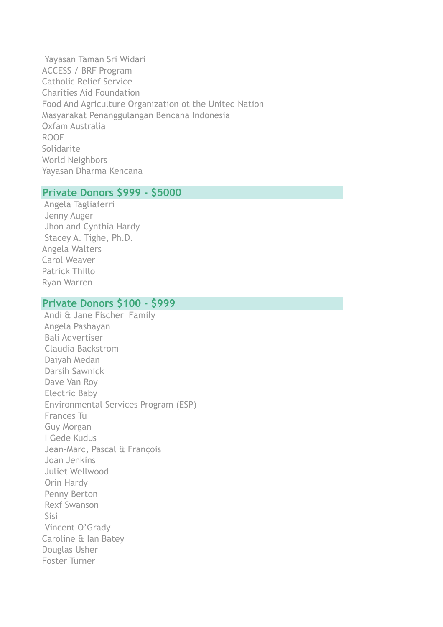Yayasan Taman Sri Widari ACCESS / BRF Program Catholic Relief Service Charities Aid Foundation Food And Agriculture Organization ot the United Nation Masyarakat Penanggulangan Bencana Indonesia Oxfam Australia ROOF Solidarite World Neighbors Yayasan Dharma Kencana

## **Private Donors \$999 - \$5000**

 Angela Tagliaferri Jenny Auger Jhon and Cynthia Hardy Stacey A. Tighe, Ph.D. Angela Walters Carol Weaver Patrick Thillo Ryan Warren

## **Private Donors \$100 - \$999**

 Andi & Jane Fischer Family Angela Pashayan Bali Advertiser Claudia Backstrom Daiyah Medan Darsih Sawnick Dave Van Roy Electric Baby Environmental Services Program (ESP) Frances Tu Guy Morgan I Gede Kudus Jean-Marc, Pascal & François Joan Jenkins Juliet Wellwood Orin Hardy Penny Berton Rexf Swanson Sisi Vincent O'Grady Caroline & Ian Batey Douglas Usher Foster Turner